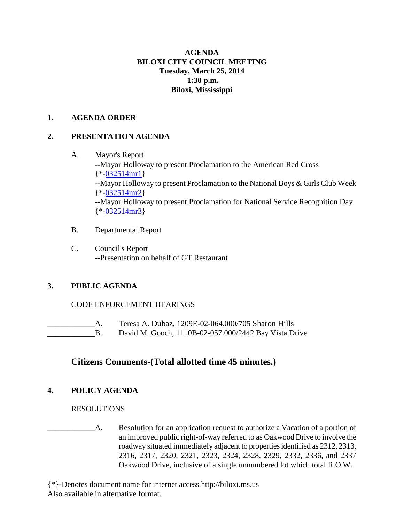### **AGENDA BILOXI CITY COUNCIL MEETING Tuesday, March 25, 2014 1:30 p.m. Biloxi, Mississippi**

#### **1. AGENDA ORDER**

#### **2. PRESENTATION AGENDA**

- A. Mayor's Report **--**Mayor Holloway to present Proclamation to the American Red Cross  ${\*$ [-032514mr1}](http://www.biloxi.ms.us/agendas/citycouncil/2014/032514/032514mr1.pdf) **--**Mayor Holloway to present Proclamation to the National Boys & Girls Club Week {\*[-032514mr2}](http://www.biloxi.ms.us/agendas/citycouncil/2014/032514/032514mr2.pdf) --Mayor Holloway to present Proclamation for National Service Recognition Day  ${\*$ [-032514mr3}](http://www.biloxi.ms.us/agendas/citycouncil/2014/032514/032514mr3.pdf)
- B. Departmental Report
- C. Council's Report --Presentation on behalf of GT Restaurant

## **3. PUBLIC AGENDA**

## CODE ENFORCEMENT HEARINGS

- \_\_\_\_\_\_\_\_\_\_\_\_A. Teresa A. Dubaz, 1209E-02-064.000/705 Sharon Hills
- **EXECUTE:** David M. Gooch, 1110B-02-057.000/2442 Bay Vista Drive

# **Citizens Comments-(Total allotted time 45 minutes.)**

## **4. POLICY AGENDA**

#### RESOLUTIONS

\_\_\_\_\_\_\_\_\_\_\_\_A. Resolution for an application request to authorize a Vacation of a portion of an improved public right-of-way referred to as Oakwood Drive to involve the roadway situated immediately adjacent to properties identified as 2312, 2313, 2316, 2317, 2320, 2321, 2323, 2324, 2328, 2329, 2332, 2336, and 2337 Oakwood Drive, inclusive of a single unnumbered lot which total R.O.W.

{\*}-Denotes document name for internet access http://biloxi.ms.us Also available in alternative format.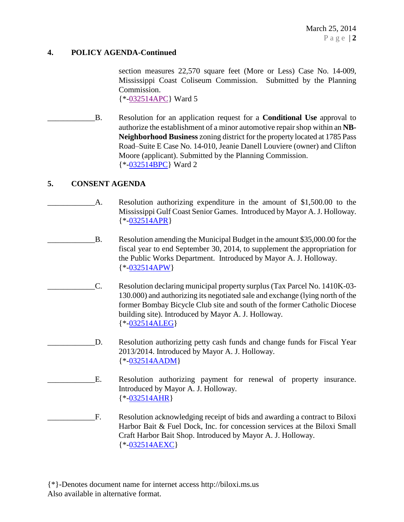#### **4. POLICY AGENDA-Continued**

section measures 22,570 square feet (More or Less) Case No. 14-009, Mississippi Coast Coliseum Commission. Submitted by the Planning Commission. {\*[-032514APC}](http://www.biloxi.ms.us/agendas/citycouncil/2014/032514/032514apc.pdf) Ward 5

\_\_\_\_\_\_\_\_\_\_\_\_B. Resolution for an application request for a **Conditional Use** approval to authorize the establishment of a minor automotive repair shop within an **NB-Neighborhood Business** zoning district for the property located at 1785 Pass Road–Suite E Case No. 14-010, Jeanie Danell Louviere (owner) and Clifton Moore (applicant). Submitted by the Planning Commission. {\*[-032514BPC}](http://www.biloxi.ms.us/agendas/citycouncil/2014/032514/032514bpc.pdf) Ward 2

#### **5. CONSENT AGENDA**

- A. Resolution authorizing expenditure in the amount of \$1,500.00 to the Mississippi Gulf Coast Senior Games. Introduced by Mayor A. J. Holloway. {\*[-032514APR}](http://www.biloxi.ms.us/agendas/citycouncil/2014/032514/032514apr.pdf)
- \_\_\_\_\_\_\_\_\_\_\_\_B. Resolution amending the Municipal Budget in the amount \$35,000.00 for the fiscal year to end September 30, 2014, to supplement the appropriation for the Public Works Department. Introduced by Mayor A. J. Holloway. {\*[-032514APW}](http://www.biloxi.ms.us/agendas/citycouncil/2014/032514/032514apw.pdf)
- \_\_\_\_\_\_\_\_\_\_\_\_C. Resolution declaring municipal property surplus (Tax Parcel No. 1410K-03- 130.000) and authorizing its negotiated sale and exchange (lying north of the former Bombay Bicycle Club site and south of the former Catholic Diocese building site). Introduced by Mayor A. J. Holloway. {\*[-032514ALEG}](http://www.biloxi.ms.us/agendas/citycouncil/2014/032514/032514aleg.pdf)
	- D. Resolution authorizing petty cash funds and change funds for Fiscal Year 2013/2014. Introduced by Mayor A. J. Holloway. {\*[-032514AADM}](http://www.biloxi.ms.us/agendas/citycouncil/2014/032514/032514aadm.pdf)
	- E. Resolution authorizing payment for renewal of property insurance. Introduced by Mayor A. J. Holloway. {\*[-032514AHR}](http://www.biloxi.ms.us/agendas/citycouncil/2014/032514/032514ahr.pdf)
- \_\_\_\_\_\_\_\_\_\_\_\_F. Resolution acknowledging receipt of bids and awarding a contract to Biloxi Harbor Bait & Fuel Dock, Inc. for concession services at the Biloxi Small Craft Harbor Bait Shop. Introduced by Mayor A. J. Holloway. {\*[-032514AEXC}](http://www.biloxi.ms.us/agendas/citycouncil/2014/032514/032514aexc.pdf)